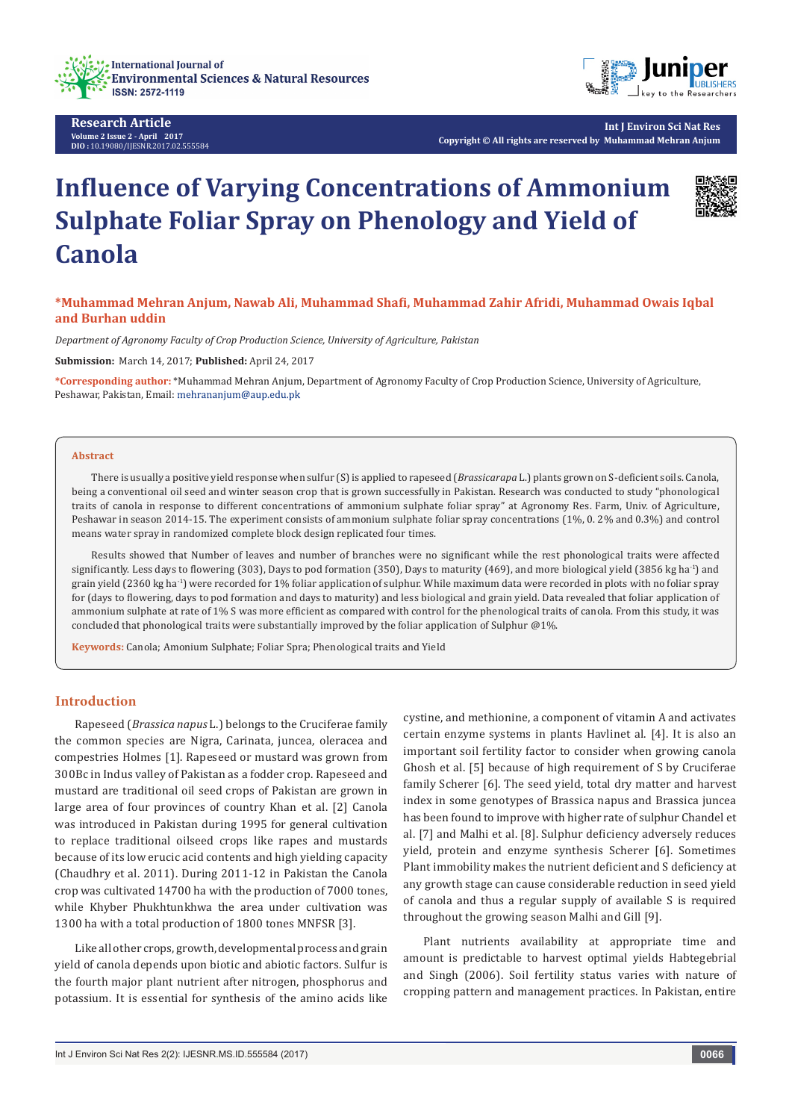

**Research Article Volume 2 Issue 2 - April 2017 DIO :** [10.19080/IJESNR.2017.02.555584](http://dx.doi.org/10.19080/IJESNR.2017.02.555584)



**Int J Environ Sci Nat Res Copyright © All rights are reserved by Muhammad Mehran Anjum**

# **Influence of Varying Concentrations of Ammonium Sulphate Foliar Spray on Phenology and Yield of Canola**



*Department of Agronomy Faculty of Crop Production Science, University of Agriculture, Pakistan*

**Submission:** March 14, 2017; **Published:** April 24, 2017

**\*Corresponding author:** \*Muhammad Mehran Anjum, Department of Agronomy Faculty of Crop Production Science, University of Agriculture, Peshawar, Pakistan, Email: mehrananjum@aup.edu.pk

#### **Abstract**

There is usually a positive yield response when sulfur (S) is applied to rapeseed (*Brassicarapa* L.) plants grown on S-deficient soils. Canola, being a conventional oil seed and winter season crop that is grown successfully in Pakistan. Research was conducted to study "phonological traits of canola in response to different concentrations of ammonium sulphate foliar spray" at Agronomy Res. Farm, Univ. of Agriculture, Peshawar in season 2014-15. The experiment consists of ammonium sulphate foliar spray concentrations (1%, 0. 2% and 0.3%) and control means water spray in randomized complete block design replicated four times.

Results showed that Number of leaves and number of branches were no significant while the rest phonological traits were affected significantly. Less days to flowering (303), Days to pod formation (350), Days to maturity (469), and more biological yield (3856 kg ha<sup>-1</sup>) and grain yield (2360 kg ha-1) were recorded for 1% foliar application of sulphur. While maximum data were recorded in plots with no foliar spray for (days to flowering, days to pod formation and days to maturity) and less biological and grain yield. Data revealed that foliar application of ammonium sulphate at rate of 1% S was more efficient as compared with control for the phenological traits of canola. From this study, it was concluded that phonological traits were substantially improved by the foliar application of Sulphur @1%.

**Keywords:** Canola; Amonium Sulphate; Foliar Spra; Phenological traits and Yield

#### **Introduction**

Rapeseed (*Brassica napus* L.) belongs to the Cruciferae family the common species are Nigra, Carinata, juncea, oleracea and compestries Holmes [1]. Rapeseed or mustard was grown from 300Bc in Indus valley of Pakistan as a fodder crop. Rapeseed and mustard are traditional oil seed crops of Pakistan are grown in large area of four provinces of country Khan et al. [2] Canola was introduced in Pakistan during 1995 for general cultivation to replace traditional oilseed crops like rapes and mustards because of its low erucic acid contents and high yielding capacity (Chaudhry et al. 2011). During 2011-12 in Pakistan the Canola crop was cultivated 14700 ha with the production of 7000 tones, while Khyber Phukhtunkhwa the area under cultivation was 1300 ha with a total production of 1800 tones MNFSR [3].

Like all other crops, growth, developmental process and grain yield of canola depends upon biotic and abiotic factors. Sulfur is the fourth major plant nutrient after nitrogen, phosphorus and potassium. It is essential for synthesis of the amino acids like

cystine, and methionine, a component of vitamin A and activates certain enzyme systems in plants Havlinet al. [4]. It is also an important soil fertility factor to consider when growing canola Ghosh et al. [5] because of high requirement of S by Cruciferae family Scherer [6]. The seed yield, total dry matter and harvest index in some genotypes of Brassica napus and Brassica juncea has been found to improve with higher rate of sulphur Chandel et al. [7] and Malhi et al. [8]. Sulphur deficiency adversely reduces yield, protein and enzyme synthesis Scherer [6]. Sometimes Plant immobility makes the nutrient deficient and S deficiency at any growth stage can cause considerable reduction in seed yield of canola and thus a regular supply of available S is required throughout the growing season Malhi and Gill [9].

Plant nutrients availability at appropriate time and amount is predictable to harvest optimal yields Habtegebrial and Singh (2006). Soil fertility status varies with nature of cropping pattern and management practices. In Pakistan, entire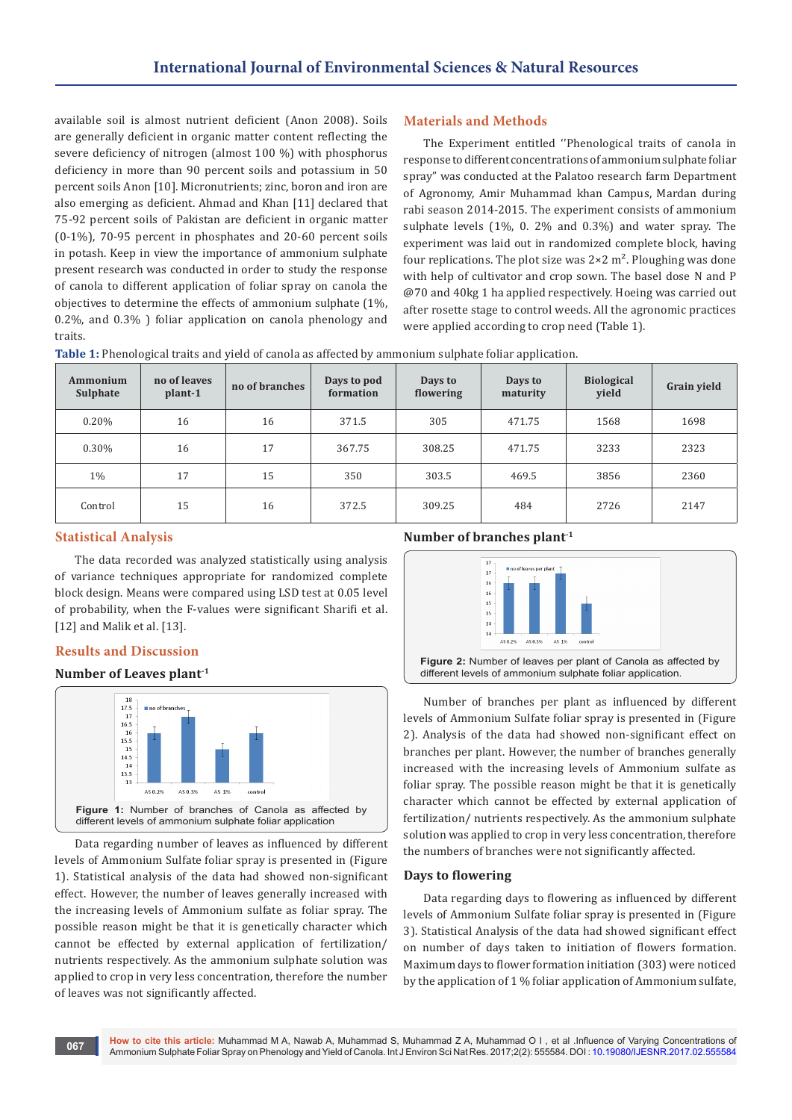available soil is almost nutrient deficient (Anon 2008). Soils are generally deficient in organic matter content reflecting the severe deficiency of nitrogen (almost 100 %) with phosphorus deficiency in more than 90 percent soils and potassium in 50 percent soils Anon [10]. Micronutrients; zinc, boron and iron are also emerging as deficient. Ahmad and Khan [11] declared that 75-92 percent soils of Pakistan are deficient in organic matter (0-1%), 70-95 percent in phosphates and 20-60 percent soils in potash. Keep in view the importance of ammonium sulphate present research was conducted in order to study the response of canola to different application of foliar spray on canola the objectives to determine the effects of ammonium sulphate (1%, 0.2%, and 0.3% ) foliar application on canola phenology and traits.

# **Materials and Methods**

The Experiment entitled ''Phenological traits of canola in response to different concentrations of ammonium sulphate foliar spray" was conducted at the Palatoo research farm Department of Agronomy, Amir Muhammad khan Campus, Mardan during rabi season 2014-2015. The experiment consists of ammonium sulphate levels (1%, 0. 2% and 0.3%) and water spray. The experiment was laid out in randomized complete block, having four replications. The plot size was  $2 \times 2$  m<sup>2</sup>. Ploughing was done with help of cultivator and crop sown. The basel dose N and P @70 and 40kg 1 ha applied respectively. Hoeing was carried out after rosette stage to control weeds. All the agronomic practices were applied according to crop need (Table 1).

| Ammonium<br>Sulphate | no of leaves<br>plant-1 | no of branches | Days to pod<br>formation | Days to<br>flowering | Days to<br>maturity | <b>Biological</b><br>yield | Grain yield |
|----------------------|-------------------------|----------------|--------------------------|----------------------|---------------------|----------------------------|-------------|
| 0.20%                | 16                      | 16             | 371.5                    | 305                  | 471.75              | 1568                       | 1698        |
| 0.30%                | 16                      | 17             | 367.75                   | 308.25               | 471.75              | 3233                       | 2323        |
| $1\%$                | 17                      | 15             | 350                      | 303.5                | 469.5               | 3856                       | 2360        |
| Control              | 15                      | 16             | 372.5                    | 309.25               | 484                 | 2726                       | 2147        |

**Table 1:** Phenological traits and yield of canola as affected by ammonium sulphate foliar application.

## **Statistical Analysis**

The data recorded was analyzed statistically using analysis of variance techniques appropriate for randomized complete block design. Means were compared using LSD test at 0.05 level of probability, when the F-values were significant Sharifi et al. [12] and Malik et al. [13].

## **Results and Discussion**

# **Number of Leaves plant-1**



Data regarding number of leaves as influenced by different levels of Ammonium Sulfate foliar spray is presented in (Figure 1). Statistical analysis of the data had showed non-significant effect. However, the number of leaves generally increased with the increasing levels of Ammonium sulfate as foliar spray. The possible reason might be that it is genetically character which cannot be effected by external application of fertilization/ nutrients respectively. As the ammonium sulphate solution was applied to crop in very less concentration, therefore the number of leaves was not significantly affected.

#### **Number of branches plant-1**



Number of branches per plant as influenced by different levels of Ammonium Sulfate foliar spray is presented in (Figure 2). Analysis of the data had showed non-significant effect on branches per plant. However, the number of branches generally increased with the increasing levels of Ammonium sulfate as foliar spray. The possible reason might be that it is genetically character which cannot be effected by external application of fertilization/ nutrients respectively. As the ammonium sulphate solution was applied to crop in very less concentration, therefore the numbers of branches were not significantly affected.

#### **Days to flowering**

Data regarding days to flowering as influenced by different levels of Ammonium Sulfate foliar spray is presented in (Figure 3). Statistical Analysis of the data had showed significant effect on number of days taken to initiation of flowers formation. Maximum days to flower formation initiation (303) were noticed by the application of 1 % foliar application of Ammonium sulfate,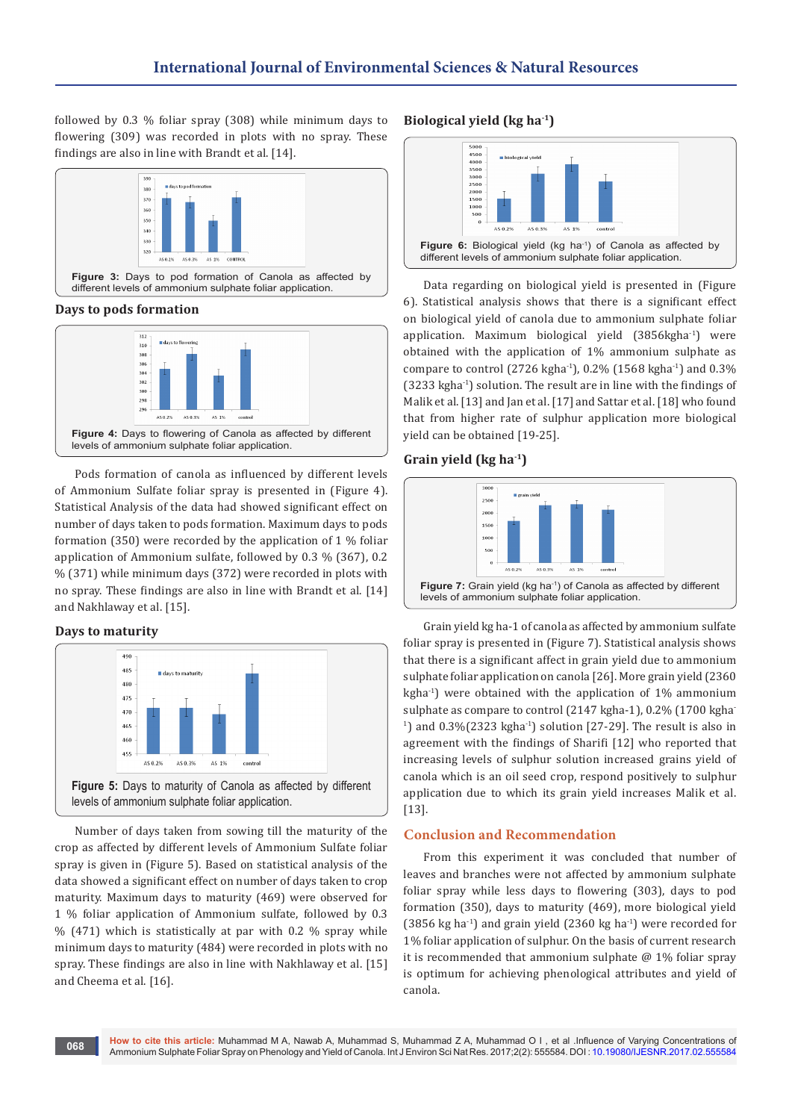followed by 0.3 % foliar spray (308) while minimum days to flowering (309) was recorded in plots with no spray. These findings are also in line with Brandt et al. [14].



**Days to pods formation**



Pods formation of canola as influenced by different levels of Ammonium Sulfate foliar spray is presented in (Figure 4). Statistical Analysis of the data had showed significant effect on number of days taken to pods formation. Maximum days to pods formation (350) were recorded by the application of 1 % foliar application of Ammonium sulfate, followed by 0.3 % (367), 0.2 % (371) while minimum days (372) were recorded in plots with no spray. These findings are also in line with Brandt et al. [14] and Nakhlaway et al. [15].

# **Days to maturity**



Number of days taken from sowing till the maturity of the crop as affected by different levels of Ammonium Sulfate foliar spray is given in (Figure 5). Based on statistical analysis of the data showed a significant effect on number of days taken to crop maturity. Maximum days to maturity (469) were observed for 1 % foliar application of Ammonium sulfate, followed by 0.3 % (471) which is statistically at par with 0.2 % spray while minimum days to maturity (484) were recorded in plots with no spray. These findings are also in line with Nakhlaway et al. [15] and Cheema et al. [16].

# **Biological yield (kg ha-1)**



Data regarding on biological yield is presented in (Figure 6). Statistical analysis shows that there is a significant effect on biological yield of canola due to ammonium sulphate foliar application. Maximum biological yield (3856kgha<sup>-1</sup>) were obtained with the application of 1% ammonium sulphate as compare to control (2726 kgha-1), 0.2% (1568 kgha-1) and 0.3% (3233 kgha-1) solution. The result are in line with the findings of Malik et al. [13] and Jan et al. [17] and Sattar et al. [18] who found that from higher rate of sulphur application more biological yield can be obtained [19-25].

# **Grain yield (kg ha-1)**



Grain yield kg ha-1 of canola as affected by ammonium sulfate foliar spray is presented in (Figure 7). Statistical analysis shows that there is a significant affect in grain yield due to ammonium sulphate foliar application on canola [26]. More grain yield (2360 kgha-1) were obtained with the application of 1% ammonium sulphate as compare to control (2147 kgha-1), 0.2% (1700 kgha- $1)$  and 0.3%(2323 kgha $1)$  solution [27-29]. The result is also in agreement with the findings of Sharifi [12] who reported that increasing levels of sulphur solution increased grains yield of canola which is an oil seed crop, respond positively to sulphur application due to which its grain yield increases Malik et al. [13].

# **Conclusion and Recommendation**

From this experiment it was concluded that number of leaves and branches were not affected by ammonium sulphate foliar spray while less days to flowering (303), days to pod formation (350), days to maturity (469), more biological yield (3856 kg ha<sup>-1</sup>) and grain yield (2360 kg ha<sup>-1</sup>) were recorded for 1% foliar application of sulphur. On the basis of current research it is recommended that ammonium sulphate  $@1%$  foliar spray is optimum for achieving phenological attributes and yield of canola.